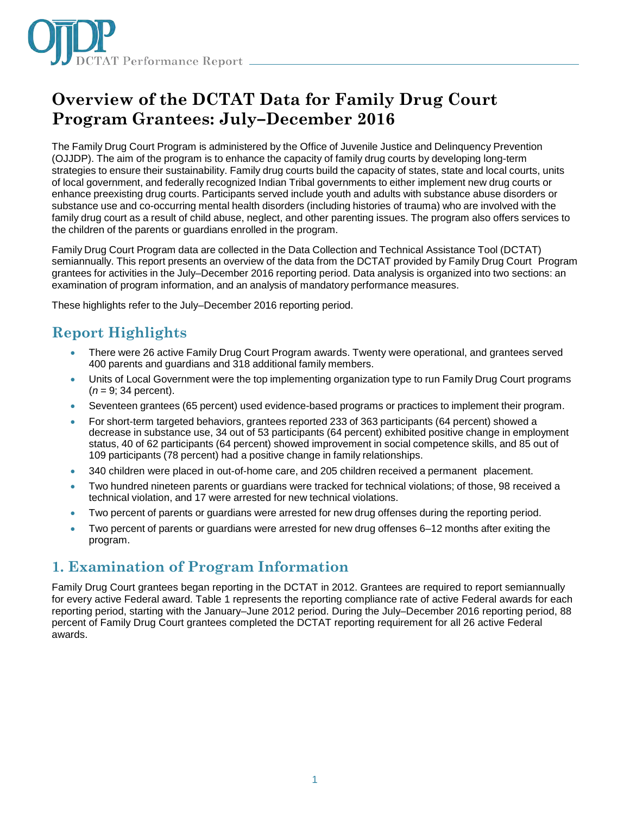

# **Overview of the DCTAT Data for Family Drug Court Program Grantees: July–December 2016**

The Family Drug Court Program is administered by the Office of Juvenile Justice and Delinquency Prevention (OJJDP). The aim of the program is to enhance the capacity of family drug courts by developing long-term strategies to ensure their sustainability. Family drug courts build the capacity of states, state and local courts, units of local government, and federally recognized Indian Tribal governments to either implement new drug courts or enhance preexisting drug courts. Participants served include youth and adults with substance abuse disorders or substance use and co-occurring mental health disorders (including histories of trauma) who are involved with the family drug court as a result of child abuse, neglect, and other parenting issues. The program also offers services to the children of the parents or guardians enrolled in the program.

Family Drug Court Program data are collected in the Data Collection and Technical Assistance Tool (DCTAT) semiannually. This report presents an overview of the data from the DCTAT provided by Family Drug Court Program grantees for activities in the July–December 2016 reporting period. Data analysis is organized into two sections: an examination of program information, and an analysis of mandatory performance measures.

These highlights refer to the July–December 2016 reporting period.

# **Report Highlights**

- There were 26 active Family Drug Court Program awards. Twenty were operational, and grantees served 400 parents and guardians and 318 additional family members.
- Units of Local Government were the top implementing organization type to run Family Drug Court programs (*n* = 9; 34 percent).
- Seventeen grantees (65 percent) used evidence-based programs or practices to implement their program.
- For short-term targeted behaviors, grantees reported 233 of 363 participants (64 percent) showed a decrease in substance use, 34 out of 53 participants (64 percent) exhibited positive change in employment status, 40 of 62 participants (64 percent) showed improvement in social competence skills, and 85 out of 109 participants (78 percent) had a positive change in family relationships.
- 340 children were placed in out-of-home care, and 205 children received a permanent placement.
- Two hundred nineteen parents or guardians were tracked for technical violations; of those, 98 received a technical violation, and 17 were arrested for new technical violations.
- Two percent of parents or guardians were arrested for new drug offenses during the reporting period.
- Two percent of parents or guardians were arrested for new drug offenses 6–12 months after exiting the program.

### **1. Examination of Program Information**

Family Drug Court grantees began reporting in the DCTAT in 2012. Grantees are required to report semiannually for every active Federal award. Table 1 represents the reporting compliance rate of active Federal awards for each reporting period, starting with the January–June 2012 period. During the July–December 2016 reporting period, 88 percent of Family Drug Court grantees completed the DCTAT reporting requirement for all 26 active Federal awards.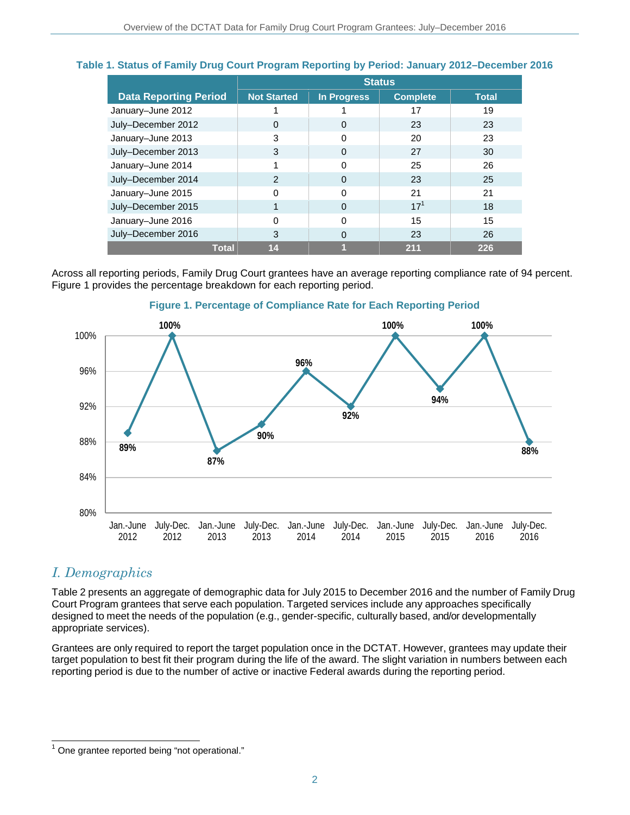### **Table 1. Status of Family Drug Court Program Reporting by Period: January 2012–December 2016**

|                              | <b>Status</b>      |                    |                 |              |
|------------------------------|--------------------|--------------------|-----------------|--------------|
| <b>Data Reporting Period</b> | <b>Not Started</b> | <b>In Progress</b> | <b>Complete</b> | <b>Total</b> |
| January-June 2012            |                    |                    | 17              | 19           |
| July-December 2012           | $\Omega$           | $\Omega$           | 23              | 23           |
| January-June 2013            | 3                  | 0                  | 20              | 23           |
| July-December 2013           | 3                  | 0                  | 27              | 30           |
| January-June 2014            |                    | O                  | 25              | 26           |
| July-December 2014           | 2                  | $\Omega$           | 23              | 25           |
| January-June 2015            | $\Omega$           | O                  | 21              | 21           |
| July-December 2015           |                    | $\Omega$           | $17^{1}$        | 18           |
| January-June 2016            | O                  | $\Omega$           | 15              | 15           |
| July-December 2016           | 3                  | 0                  | 23              | 26           |
| <b>Total</b>                 | 14                 |                    | 211             | 226          |

Across all reporting periods, Family Drug Court grantees have an average reporting compliance rate of 94 percent. Figure 1 provides the percentage breakdown for each reporting period.



### **Figure 1. Percentage of Compliance Rate for Each Reporting Period**

### *I. Demographics*

 $\overline{\phantom{a}}$ 

Table 2 presents an aggregate of demographic data for July 2015 to December 2016 and the number of Family Drug Court Program grantees that serve each population. Targeted services include any approaches specifically designed to meet the needs of the population (e.g., gender-specific, culturally based, and/or developmentally appropriate services).

Grantees are only required to report the target population once in the DCTAT. However, grantees may update their target population to best fit their program during the life of the award. The slight variation in numbers between each reporting period is due to the number of active or inactive Federal awards during the reporting period.

 $1$  One grantee reported being "not operational."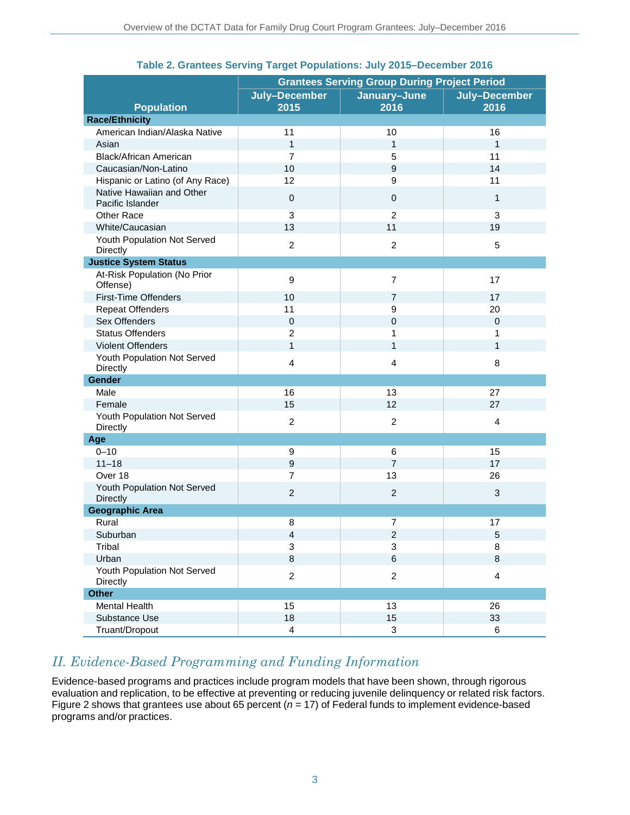|                                               | <b>Grantees Serving Group During Project Period</b> |                           |                       |  |
|-----------------------------------------------|-----------------------------------------------------|---------------------------|-----------------------|--|
| <b>Population</b>                             | July-December<br>2015                               | January-June<br>2016      | July-December<br>2016 |  |
| <b>Race/Ethnicity</b>                         |                                                     |                           |                       |  |
| American Indian/Alaska Native                 | 11                                                  | 10                        | 16                    |  |
| Asian                                         | $\mathbf{1}$                                        | $\mathbf{1}$              | $\mathbf{1}$          |  |
| Black/African American                        | $\overline{7}$                                      | 5                         | 11                    |  |
| Caucasian/Non-Latino                          | 10                                                  | 9                         | 14                    |  |
| Hispanic or Latino (of Any Race)              | 12                                                  | 9                         | 11                    |  |
| Native Hawaiian and Other<br>Pacific Islander | 0                                                   | 0                         | $\mathbf{1}$          |  |
| Other Race                                    | 3                                                   | $\overline{2}$            | 3                     |  |
| White/Caucasian                               | 13                                                  | 11                        | 19                    |  |
| Youth Population Not Served<br>Directly       | $\overline{c}$                                      | $\overline{c}$            | 5                     |  |
| <b>Justice System Status</b>                  |                                                     |                           |                       |  |
| At-Risk Population (No Prior<br>Offense)      | 9                                                   | $\overline{7}$            | 17                    |  |
| <b>First-Time Offenders</b>                   | 10                                                  | $\overline{7}$            | 17                    |  |
| <b>Repeat Offenders</b>                       | 11                                                  | $\mathsf g$               | 20                    |  |
| Sex Offenders                                 | $\boldsymbol{0}$                                    | 0                         | $\mathbf 0$           |  |
| <b>Status Offenders</b>                       | $\overline{2}$                                      | 1                         | 1                     |  |
| <b>Violent Offenders</b>                      | $\mathbf{1}$                                        | $\mathbf{1}$              | $\mathbf{1}$          |  |
| Youth Population Not Served<br>Directly       | $\overline{4}$                                      | 4                         | 8                     |  |
| Gender                                        |                                                     |                           |                       |  |
| Male                                          | 16                                                  | 13                        | 27                    |  |
| Female                                        | 15                                                  | 12                        | 27                    |  |
| Youth Population Not Served<br>Directly       | $\overline{c}$                                      | $\overline{c}$            | $\overline{4}$        |  |
| Age                                           |                                                     |                           |                       |  |
| $0 - 10$                                      | 9                                                   | 6                         | 15                    |  |
| $11 - 18$                                     | 9                                                   | $\overline{7}$            | 17                    |  |
| Over 18                                       | $\overline{7}$                                      | 13                        | 26                    |  |
| Youth Population Not Served<br>Directly       | $\overline{2}$                                      | $\overline{2}$            | 3                     |  |
| <b>Geographic Area</b>                        |                                                     |                           |                       |  |
| Rural                                         | 8                                                   | 7                         | 17                    |  |
| Suburban                                      | 4                                                   | $\overline{\mathbf{c}}$   | $\sqrt{5}$            |  |
| Tribal                                        | $\ensuremath{\mathsf{3}}$                           | 3                         | 8                     |  |
| Urban                                         | $\,8\,$                                             | $\,6$                     | $\,8\,$               |  |
| Youth Population Not Served<br>Directly       | $\overline{2}$                                      | $\overline{c}$            | $\overline{4}$        |  |
| <b>Other</b>                                  |                                                     |                           |                       |  |
| Mental Health                                 | 15                                                  | 13                        | 26                    |  |
| Substance Use                                 | 18                                                  | 15                        | 33                    |  |
| Truant/Dropout                                | $\overline{\mathbf{4}}$                             | $\ensuremath{\mathsf{3}}$ | 6                     |  |

### **Table 2. Grantees Serving Target Populations: July 2015–December 2016**

## *II. Evidence-Based Programming and Funding Information*

Evidence-based programs and practices include program models that have been shown, through rigorous evaluation and replication, to be effective at preventing or reducing juvenile delinquency or related risk factors. Figure 2 shows that grantees use about 65 percent (*n* = 17) of Federal funds to implement evidence-based programs and/or practices.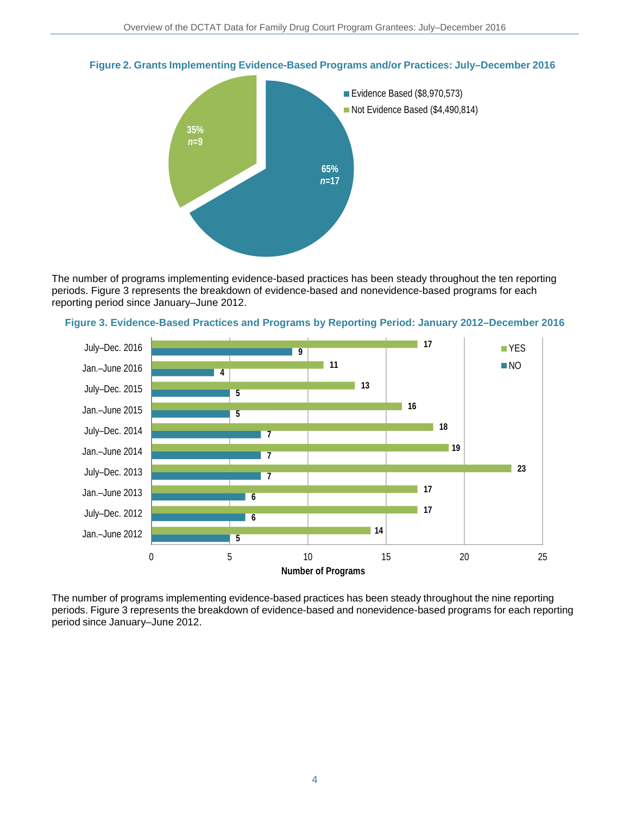

**Figure 2. Grants Implementing Evidence-Based Programs and/or Practices: July–December 2016**

The number of programs implementing evidence-based practices has been steady throughout the ten reporting periods. Figure 3 represents the breakdown of evidence-based and nonevidence-based programs for each reporting period since January–June 2012.





The number of programs implementing evidence-based practices has been steady throughout the nine reporting periods. Figure 3 represents the breakdown of evidence-based and nonevidence-based programs for each reporting period since January–June 2012.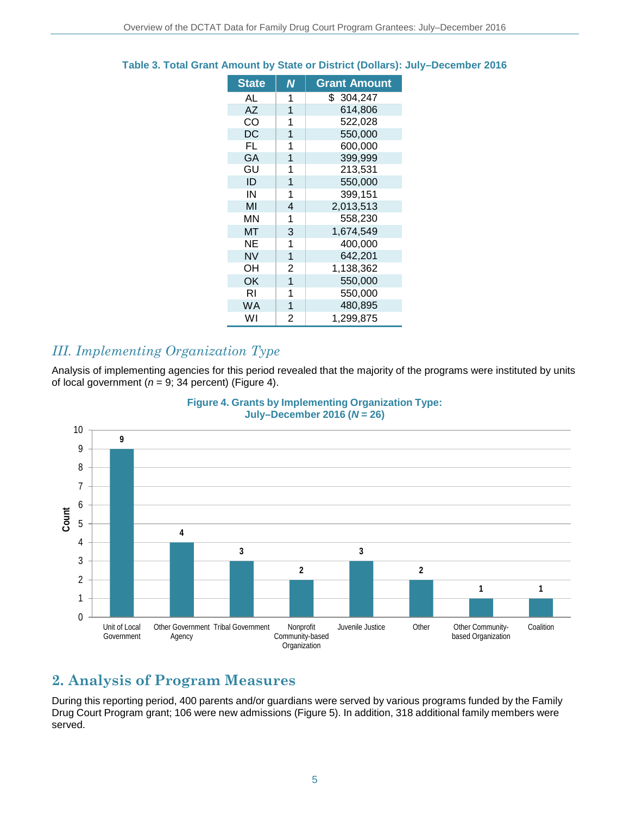| <b>State</b> | N              | <b>Grant Amount</b> |
|--------------|----------------|---------------------|
| AL           | 1              | \$304,247           |
| AZ           | 1              | 614,806             |
| CO           | 1              | 522,028             |
| DC           | 1              | 550,000             |
| FL           | 1              | 600,000             |
| GA           | 1              | 399,999             |
| GU           | 1              | 213,531             |
| ID           | 1              | 550,000             |
| IN           | 1              | 399,151             |
| MI           | 4              | 2,013,513           |
| MΝ           | 1              | 558,230             |
| МT           | 3              | 1,674,549           |
| NΕ           | 1              | 400,000             |
| <b>NV</b>    | 1              | 642,201             |
| OH           | 2              | 1,138,362           |
| OK           | 1              | 550,000             |
| RI           | 1              | 550,000             |
| <b>WA</b>    | 1              | 480,895             |
| W١           | $\overline{2}$ | 1,299,875           |

### **Table 3. Total Grant Amount by State or District (Dollars): July–December 2016**

### *III. Implementing Organization Type*

Analysis of implementing agencies for this period revealed that the majority of the programs were instituted by units of local government ( $n = 9$ ; 34 percent) (Figure 4).





# **2. Analysis of Program Measures**

During this reporting period, 400 parents and/or guardians were served by various programs funded by the Family Drug Court Program grant; 106 were new admissions (Figure 5). In addition, 318 additional family members were served.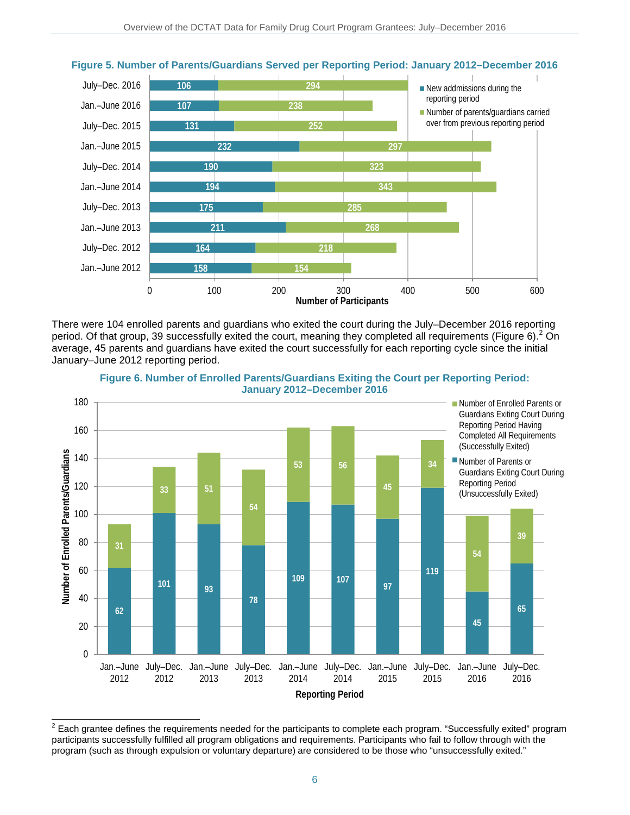

### **Figure 5. Number of Parents/Guardians Served per Reporting Period: January 2012–December 2016**

There were 104 enrolled parents and guardians who exited the court during the July–December 2016 reporting period. Of that group, 39 successfully exited the court, meaning they completed all requirements (Figure 6).  $2^{2}$  On average, 45 parents and guardians have exited the court successfully for each reporting cycle since the initial January–June 2012 reporting period.



**Figure 6. Number of Enrolled Parents/Guardians Exiting the Court per Reporting Period: January 2012–December 2016**

 2 Each grantee defines the requirements needed for the participants to complete each program. "Successfully exited" program participants successfully fulfilled all program obligations and requirements. Participants who fail to follow through with the program (such as through expulsion or voluntary departure) are considered to be those who "unsuccessfully exited."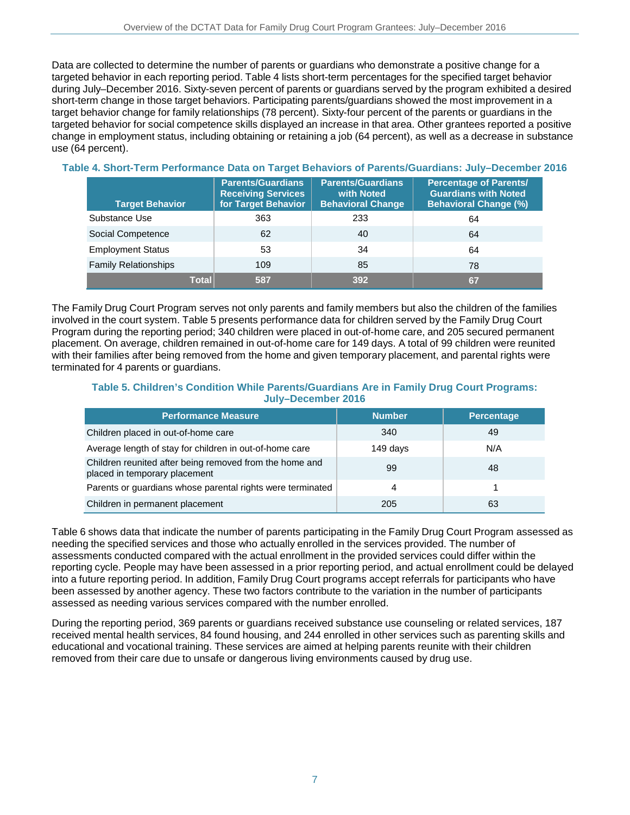Data are collected to determine the number of parents or guardians who demonstrate a positive change for a targeted behavior in each reporting period. Table 4 lists short-term percentages for the specified target behavior during July–December 2016. Sixty-seven percent of parents or guardians served by the program exhibited a desired short-term change in those target behaviors. Participating parents/guardians showed the most improvement in a target behavior change for family relationships (78 percent). Sixty-four percent of the parents or guardians in the targeted behavior for social competence skills displayed an increase in that area. Other grantees reported a positive change in employment status, including obtaining or retaining a job (64 percent), as well as a decrease in substance use (64 percent).

| <b>Target Behavior</b>      | <b>Parents/Guardians</b><br><b>Receiving Services</b><br>for Target Behavior | <b>Parents/Guardians</b><br>with Noted<br><b>Behavioral Change</b> | <b>Percentage of Parents/</b><br><b>Guardians with Noted</b><br><b>Behavioral Change (%)</b> |
|-----------------------------|------------------------------------------------------------------------------|--------------------------------------------------------------------|----------------------------------------------------------------------------------------------|
| Substance Use               | 363                                                                          | 233                                                                | 64                                                                                           |
| Social Competence           | 62                                                                           | 40                                                                 | 64                                                                                           |
| <b>Employment Status</b>    | 53                                                                           | 34                                                                 | 64                                                                                           |
| <b>Family Relationships</b> | 109                                                                          | 85                                                                 | 78                                                                                           |
| Total                       | 587                                                                          | 392                                                                | 67                                                                                           |

### **Table 4. Short-Term Performance Data on Target Behaviors of Parents/Guardians: July–December 2016**

The Family Drug Court Program serves not only parents and family members but also the children of the families involved in the court system. Table 5 presents performance data for children served by the Family Drug Court Program during the reporting period; 340 children were placed in out-of-home care, and 205 secured permanent placement. On average, children remained in out-of-home care for 149 days. A total of 99 children were reunited with their families after being removed from the home and given temporary placement, and parental rights were terminated for 4 parents or guardians.

### **Table 5. Children's Condition While Parents/Guardians Are in Family Drug Court Programs: July–December 2016**

| <b>Performance Measure</b>                                                               | <b>Number</b> | <b>Percentage</b> |
|------------------------------------------------------------------------------------------|---------------|-------------------|
| Children placed in out-of-home care                                                      | 340           | 49                |
| Average length of stay for children in out-of-home care                                  | 149 days      | N/A               |
| Children reunited after being removed from the home and<br>placed in temporary placement | 99            | 48                |
| Parents or guardians whose parental rights were terminated                               | 4             |                   |
| Children in permanent placement                                                          | 205           | 63                |

Table 6 shows data that indicate the number of parents participating in the Family Drug Court Program assessed as needing the specified services and those who actually enrolled in the services provided. The number of assessments conducted compared with the actual enrollment in the provided services could differ within the reporting cycle. People may have been assessed in a prior reporting period, and actual enrollment could be delayed into a future reporting period. In addition, Family Drug Court programs accept referrals for participants who have been assessed by another agency. These two factors contribute to the variation in the number of participants assessed as needing various services compared with the number enrolled.

During the reporting period, 369 parents or guardians received substance use counseling or related services, 187 received mental health services, 84 found housing, and 244 enrolled in other services such as parenting skills and educational and vocational training. These services are aimed at helping parents reunite with their children removed from their care due to unsafe or dangerous living environments caused by drug use.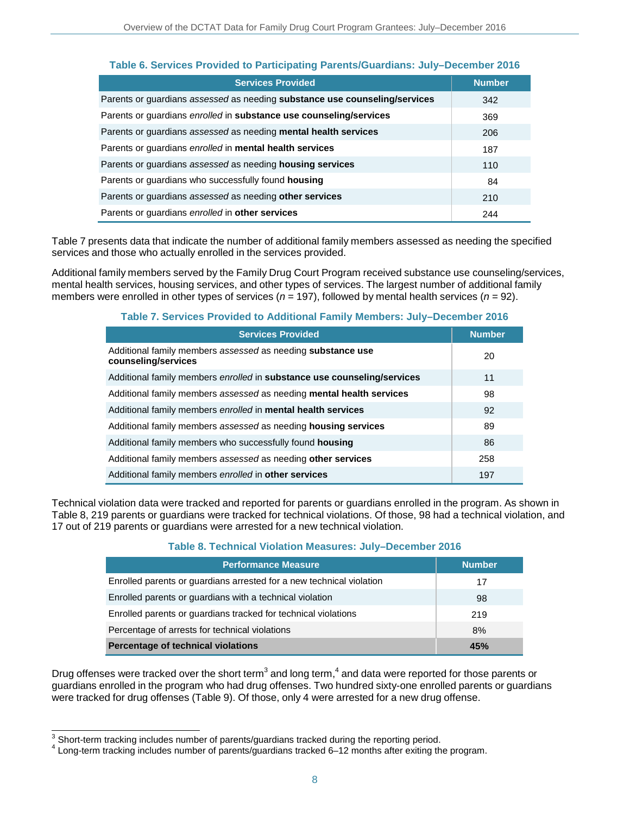|  |  | Table 6. Services Provided to Participating Parents/Guardians: July-December 2016 |
|--|--|-----------------------------------------------------------------------------------|
|  |  |                                                                                   |

| <b>Services Provided</b>                                                   | <b>Number</b> |
|----------------------------------------------------------------------------|---------------|
| Parents or guardians assessed as needing substance use counseling/services | 342           |
| Parents or guardians enrolled in substance use counseling/services         | 369           |
| Parents or guardians assessed as needing mental health services            | 206           |
| Parents or guardians enrolled in mental health services                    | 187           |
| Parents or guardians assessed as needing housing services                  | 110           |
| Parents or guardians who successfully found housing                        | 84            |
| Parents or guardians assessed as needing other services                    | 210           |
| Parents or guardians enrolled in other services                            | 244           |

Table 7 presents data that indicate the number of additional family members assessed as needing the specified services and those who actually enrolled in the services provided.

Additional family members served by the Family Drug Court Program received substance use counseling/services, mental health services, housing services, and other types of services. The largest number of additional family members were enrolled in other types of services (*n* = 197), followed by mental health services (*n* = 92).

### **Table 7. Services Provided to Additional Family Members: July–December 2016**

| <b>Services Provided</b>                                                           | <b>Number</b> |
|------------------------------------------------------------------------------------|---------------|
| Additional family members assessed as needing substance use<br>counseling/services | 20            |
| Additional family members enrolled in substance use counseling/services            | 11            |
| Additional family members assessed as needing mental health services               | 98            |
| Additional family members enrolled in mental health services                       | 92            |
| Additional family members assessed as needing housing services                     | 89            |
| Additional family members who successfully found housing                           | 86            |
| Additional family members assessed as needing other services                       | 258           |
| Additional family members enrolled in other services                               | 197           |

Technical violation data were tracked and reported for parents or guardians enrolled in the program. As shown in Table 8, 219 parents or guardians were tracked for technical violations. Of those, 98 had a technical violation, and 17 out of 219 parents or guardians were arrested for a new technical violation.

#### **Table 8. Technical Violation Measures: July–December 2016**

| <b>Performance Measure</b>                                           | <b>Number</b> |
|----------------------------------------------------------------------|---------------|
| Enrolled parents or guardians arrested for a new technical violation | 17            |
| Enrolled parents or guardians with a technical violation             | 98            |
| Enrolled parents or guardians tracked for technical violations       | 219           |
| Percentage of arrests for technical violations                       | 8%            |
| Percentage of technical violations                                   | 45%           |

Drug offenses were tracked over the short term<sup>3</sup> and long term,<sup>4</sup> and data were reported for those parents or guardians enrolled in the program who had drug offenses. Two hundred sixty-one enrolled parents or guardians were tracked for drug offenses (Table 9). Of those, only 4 were arrested for a new drug offense.

 3

 $4$  Long-term tracking includes number of parents/guardians tracked 6–12 months after exiting the program.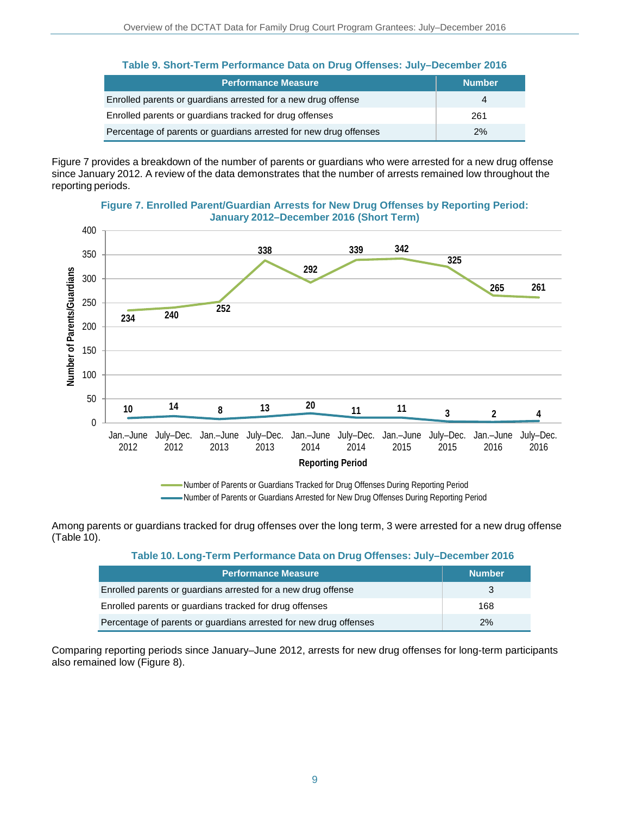| <b>Performance Measure</b>                                        | <b>Number</b> |
|-------------------------------------------------------------------|---------------|
| Enrolled parents or guardians arrested for a new drug offense     |               |
| Enrolled parents or guardians tracked for drug offenses           | 261           |
| Percentage of parents or guardians arrested for new drug offenses | 2%            |

Figure 7 provides a breakdown of the number of parents or guardians who were arrested for a new drug offense since January 2012. A review of the data demonstrates that the number of arrests remained low throughout the reporting periods.





Number of Parents or Guardians Arrested for New Drug Offenses During Reporting Period

Among parents or guardians tracked for drug offenses over the long term, 3 were arrested for a new drug offense (Table 10).

**Table 10. Long-Term Performance Data on Drug Offenses: July–December 2016**

| <b>Performance Measure</b>                                        | <b>Number</b> |
|-------------------------------------------------------------------|---------------|
| Enrolled parents or guardians arrested for a new drug offense     |               |
| Enrolled parents or guardians tracked for drug offenses           | 168           |
| Percentage of parents or guardians arrested for new drug offenses | 2%            |

Comparing reporting periods since January–June 2012, arrests for new drug offenses for long-term participants also remained low (Figure 8).